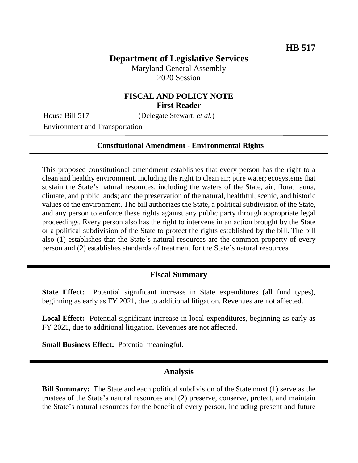## **Department of Legislative Services**

Maryland General Assembly 2020 Session

## **FISCAL AND POLICY NOTE First Reader**

House Bill 517 (Delegate Stewart, *et al.*)

Environment and Transportation

#### **Constitutional Amendment - Environmental Rights**

This proposed constitutional amendment establishes that every person has the right to a clean and healthy environment, including the right to clean air; pure water; ecosystems that sustain the State's natural resources, including the waters of the State, air, flora, fauna, climate, and public lands; and the preservation of the natural, healthful, scenic, and historic values of the environment. The bill authorizes the State, a political subdivision of the State, and any person to enforce these rights against any public party through appropriate legal proceedings. Every person also has the right to intervene in an action brought by the State or a political subdivision of the State to protect the rights established by the bill. The bill also (1) establishes that the State's natural resources are the common property of every person and (2) establishes standards of treatment for the State's natural resources.

### **Fiscal Summary**

**State Effect:** Potential significant increase in State expenditures (all fund types), beginning as early as FY 2021, due to additional litigation. Revenues are not affected.

**Local Effect:** Potential significant increase in local expenditures, beginning as early as FY 2021, due to additional litigation. Revenues are not affected.

**Small Business Effect:** Potential meaningful.

#### **Analysis**

**Bill Summary:** The State and each political subdivision of the State must (1) serve as the trustees of the State's natural resources and (2) preserve, conserve, protect, and maintain the State's natural resources for the benefit of every person, including present and future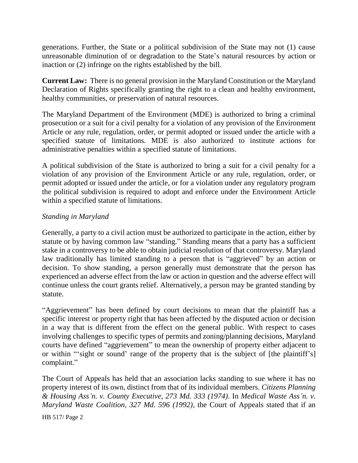generations. Further, the State or a political subdivision of the State may not (1) cause unreasonable diminution of or degradation to the State's natural resources by action or inaction or (2) infringe on the rights established by the bill.

**Current Law:** There is no general provision in the Maryland Constitution or the Maryland Declaration of Rights specifically granting the right to a clean and healthy environment, healthy communities, or preservation of natural resources.

The Maryland Department of the Environment (MDE) is authorized to bring a criminal prosecution or a suit for a civil penalty for a violation of any provision of the Environment Article or any rule, regulation, order, or permit adopted or issued under the article with a specified statute of limitations. MDE is also authorized to institute actions for administrative penalties within a specified statute of limitations.

A political subdivision of the State is authorized to bring a suit for a civil penalty for a violation of any provision of the Environment Article or any rule, regulation, order, or permit adopted or issued under the article, or for a violation under any regulatory program the political subdivision is required to adopt and enforce under the Environment Article within a specified statute of limitations.

### *Standing in Maryland*

Generally, a party to a civil action must be authorized to participate in the action, either by statute or by having common law "standing." Standing means that a party has a sufficient stake in a controversy to be able to obtain judicial resolution of that controversy. Maryland law traditionally has limited standing to a person that is "aggrieved" by an action or decision. To show standing, a person generally must demonstrate that the person has experienced an adverse effect from the law or action in question and the adverse effect will continue unless the court grants relief. Alternatively, a person may be granted standing by statute.

"Aggrievement" has been defined by court decisions to mean that the plaintiff has a specific interest or property right that has been affected by the disputed action or decision in a way that is different from the effect on the general public. With respect to cases involving challenges to specific types of permits and zoning/planning decisions, Maryland courts have defined "aggrievement" to mean the ownership of property either adjacent to or within "'sight or sound' range of the property that is the subject of [the plaintiff's] complaint."

The Court of Appeals has held that an association lacks standing to sue where it has no property interest of its own, distinct from that of its individual members. *Citizens Planning & Housing Ass'n. v. County Executive, 273 Md. 333 (1974)*. In *Medical Waste Ass'n. v. Maryland Waste Coalition, 327 Md. 596 (1992)*, the Court of Appeals stated that if an

HB 517/ Page 2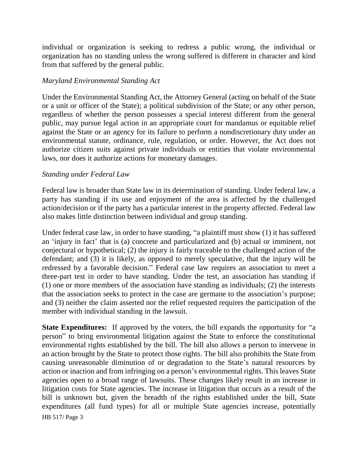individual or organization is seeking to redress a public wrong, the individual or organization has no standing unless the wrong suffered is different in character and kind from that suffered by the general public.

### *Maryland Environmental Standing Act*

Under the Environmental Standing Act, the Attorney General (acting on behalf of the State or a unit or officer of the State); a political subdivision of the State; or any other person, regardless of whether the person possesses a special interest different from the general public, may pursue legal action in an appropriate court for mandamus or equitable relief against the State or an agency for its failure to perform a nondiscretionary duty under an environmental statute, ordinance, rule, regulation, or order. However, the Act does not authorize citizen suits against private individuals or entities that violate environmental laws, nor does it authorize actions for monetary damages.

### *Standing under Federal Law*

Federal law is broader than State law in its determination of standing. Under federal law, a party has standing if its use and enjoyment of the area is affected by the challenged action/decision or if the party has a particular interest in the property affected. Federal law also makes little distinction between individual and group standing.

Under federal case law, in order to have standing, "a plaintiff must show (1) it has suffered an 'injury in fact' that is (a) concrete and particularized and (b) actual or imminent, not conjectural or hypothetical; (2) the injury is fairly traceable to the challenged action of the defendant; and (3) it is likely, as opposed to merely speculative, that the injury will be redressed by a favorable decision." Federal case law requires an association to meet a three-part test in order to have standing. Under the test, an association has standing if (1) one or more members of the association have standing as individuals; (2) the interests that the association seeks to protect in the case are germane to the association's purpose; and (3) neither the claim asserted nor the relief requested requires the participation of the member with individual standing in the lawsuit.

HB 517/ Page 3 **State Expenditures:** If approved by the voters, the bill expands the opportunity for "a person" to bring environmental litigation against the State to enforce the constitutional environmental rights established by the bill. The bill also allows a person to intervene in an action brought by the State to protect those rights. The bill also prohibits the State from causing unreasonable diminution of or degradation to the State's natural resources by action or inaction and from infringing on a person's environmental rights. This leaves State agencies open to a broad range of lawsuits. These changes likely result in an increase in litigation costs for State agencies. The increase in litigation that occurs as a result of the bill is unknown but, given the breadth of the rights established under the bill, State expenditures (all fund types) for all or multiple State agencies increase, potentially